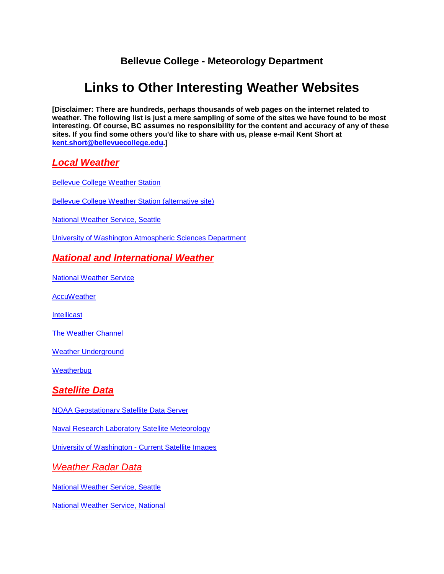## **Bellevue College - Meteorology Department**

# **Links to Other Interesting Weather Websites**

**[Disclaimer: There are hundreds, perhaps thousands of web pages on the internet related to weather. The following list is just a mere sampling of some of the sites we have found to be most interesting. Of course, BC assumes no responsibility for the content and accuracy of any of these sites. If you find some others you'd like to share with us, please e-mail Kent Short at [kent.short@bellevuecollege.edu.](mailto:kent.short@bellevuecollege.edu)]** 

## *Local Weather*

[Bellevue College Weather Station](http://scidiv.bellevuecollege.edu/weather/Bellevue/Current_Vantage_Pro_Plus.htm)

[Bellevue College Weather Station \(alternative site\)](http://www.findu.com/cgi-bin/wxpage.cgi?last=24&call=DW2923)

[National Weather Service, Seattle](http://www.weather.gov/Seattle)

[University of Washington Atmospheric Sciences Department](http://www.atmos.washington.edu/)

## *National and International Weather*

[National Weather Service](https://www.weather.gov/)

**[AccuWeather](http://www.accuweather.com/)** 

**[Intellicast](http://www.intellicast.com/)** 

[The Weather Channel](http://www.weather.com/)

[Weather Underground](http://www.wunderground.com/)

**[Weatherbug](http://weather.weatherbug.com/)** 

## *Satellite Data*

NOAA [Geostationary Satellite Data Server](http://www.goes.noaa.gov/)

[Naval Research Laboratory Satellite Meteorology](http://www.nrlmry.navy.mil/sat_products.html)

[University of Washington -](http://www.atmos.washington.edu/data/weather.html) Current Satellite Images

*Weather Radar Data*

[National Weather Service, Seattle](http://www.wrh.noaa.gov/wrh/faq/radar.php?wfo=sew)

[National Weather Service, National](https://radar.weather.gov/)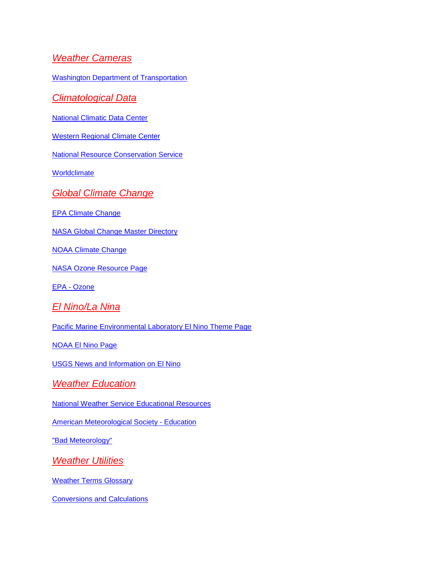#### *Weather Cameras*

[Washington Department of Transportation](http://www.wsdot.wa.gov/traffic)

*Climatological Data*

[National Climatic Data Center](http://www.ncdc.noaa.gov/)

[Western Regional Climate Center](http://www.wrcc.dri.edu/)

[National Resource Conservation Service](http://www.wcc.nrcs.usda.gov/)

**[Worldclimate](http://www.worldclimate.com/)** 

*Global Climate Change*

[EPA Climate Change](https://www.epa.gov/cira)

[NASA Global Change Master Directory](http://gcmd.gsfc.nasa.gov/)

[NOAA Climate Change](https://www.noaa.gov/categories/climate-change)

[NASA Ozone Resource Page](http://www.nasa.gov/vision/earth/environment/ozone_resource_page.html)

EPA - [Ozone](http://www.epa.gov/ozone)

*El Nino/La Nina*

[Pacific Marine Environmental Laboratory El Nino Theme Page](https://www.pmel.noaa.gov/elnino/)

[NOAA El Nino Page](http://www.elnino.noaa.gov/)

[USGS News and Information on El Nino](http://walrus.wr.usgs.gov/elnino)

*Weather Education*

[National Weather Service Educational Resources](https://www.weather.gov/owlie/)

[American Meteorological Society -](http://www.ametsoc.org/amsedu/) Education

["Bad Meteorology"](http://www.ems.psu.edu/%7Efraser/BadMeteorology.html)

*Weather Utilities*

[Weather Terms Glossary](http://www.geocities.ws/rainbowweathercaster/glossary.html)

[Conversions and Calculations](https://www.wpc.ncep.noaa.gov/html/calcbody_txt.html)